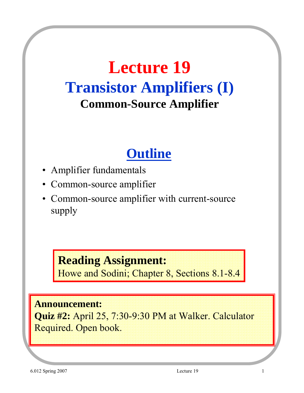# **Lecture 19 Transistor Amplifiers (I) Common-Source Amplifier**

## **Outline**

- Amplifier fundamentals
- Common-source amplifier
- Common-source amplifier with current-source supply

#### **Reading Assignment:**

Howe and Sodini; Chapter 8, Sections 8.1-8.4

#### **Announcement:**

**Quiz #2:** April 25, 7:30-9:30 PM at Walker. Calculator Required. Open book.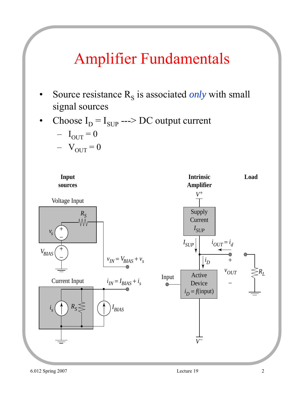# Amplifier Fundamentals

- Source resistance  $R<sub>S</sub>$  is associated *only* with small signal sources
- Choose  $I_D = I_{SUP}$  ---> DC output current

$$
- I_{\text{OUT}} = 0
$$
  

$$
- V_{\text{OUT}} = 0
$$

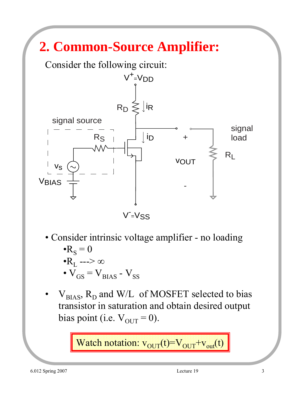# **2. Common-Source Amplifier:**

Consider the following circuit:



V<sup>-</sup>V<sub>SS</sub>

- Consider intrinsic voltage amplifier no loading  $\cdot R_{\rm S} = 0$  $\bullet R_L \longrightarrow \infty$ •  $V_{GS} = V_{BIAS} - V_{SS}$
- $V_{BIAS}$ ,  $R_D$  and W/L of MOSFET selected to bias transistor in saturation and obtain desired output bias point (i.e.  $V_{\text{OUT}} = 0$ ).

Watch notation:  $v_{OUT}(t) = V_{OUT} + v_{out}(t)$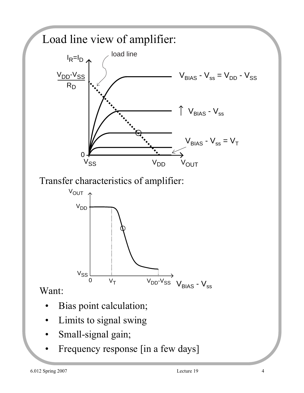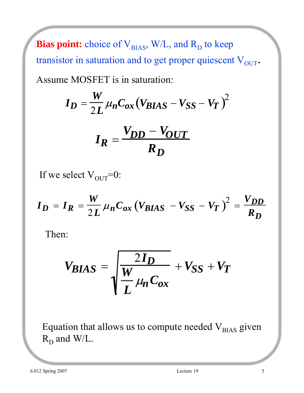**Bias point:** choice of  $V_{BIAS}$ , W/L, and  $R_D$  to keep transistor in saturation and to get proper quiescent  $V_{OUT}$ . Assume MOSFET is in saturation:

$$
I_D = \frac{W}{2L} \mu_n C_{ox} (V_{BIAS} - V_{SS} - V_T)^2
$$

$$
I_R = \frac{V_{DD} - V_{OUT}}{R_D}
$$

If we select  $V_{\text{OUT}}=0$ :

$$
I_D = I_R = \frac{W}{2L} \mu_n C_{ox} (V_{BIAS} - V_{SS} - V_T)^2 = \frac{V_{DD}}{R_D}
$$

Then:

$$
V_{BIAS} = \sqrt{\frac{2I_D}{\frac{W}{L}} \mu_n C_{ox}} + V_{SS} + V_T
$$

Equation that allows us to compute needed  $V_{BIAS}$  given  $R_D$  and W/L.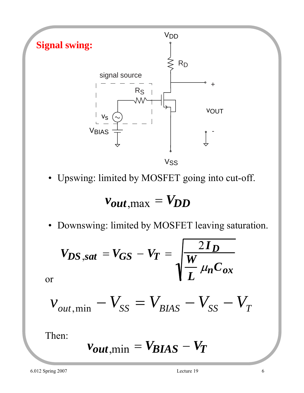

• Upswing: limited by MOSFET going into cut-off.

$$
v_{out,max} = V_{DD}
$$

• Downswing: limited by MOSFET leaving saturation.

$$
V_{DS,sat} = V_{GS} - V_T = \sqrt{\frac{2I_D}{L \mu_n C_{ox}}}
$$

$$
v_{\text{out,min}} - V_{SS} = V_{BIAS} - V_{SS} - V_T
$$

Then:

or

$$
v_{out,min} = V_{BIAS} - V_T
$$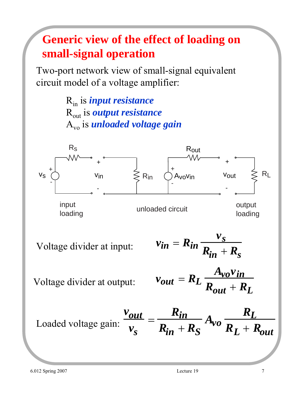## **Generic view of the effect of loading on small-signal operation**

Two-port network view of small-signal equivalent circuit model of a voltage amplifier:

> Rin is *input resistance* Rout is *output resistance* Avo is *unloaded voltage gain*

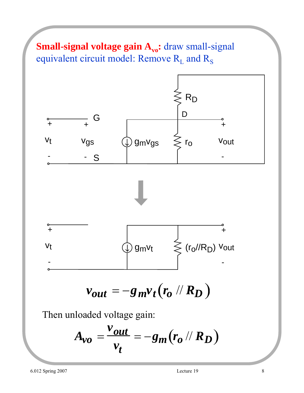#### **Small-signal voltage gain A<sub>vo</sub>:** draw small-signal equivalent circuit model: Remove  $R_L$  and  $R_S$

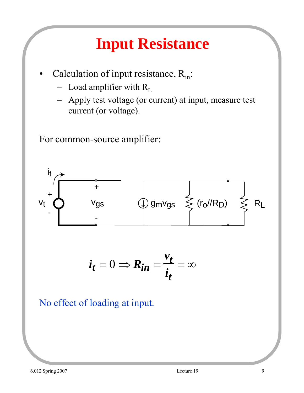# **Input Resistance**

- Calculation of input resistance,  $R_{in}$ :
	- Load amplifier with  $R_L$
	- Apply test voltage (or current) at input, measure test current (or voltage).

For common-source amplifier:



No effect of loading at input.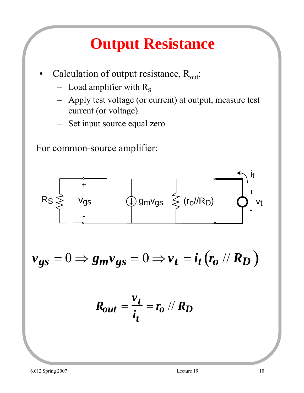# **Output Resistance**

- Calculation of output resistance,  $R_{out}$ :
	- Load amplifier with  $R_s$
	- Apply test voltage (or current) at output, measure test current (or voltage).
	- Set input source equal zero

For common-source amplifier:

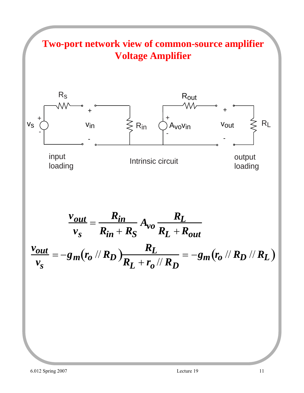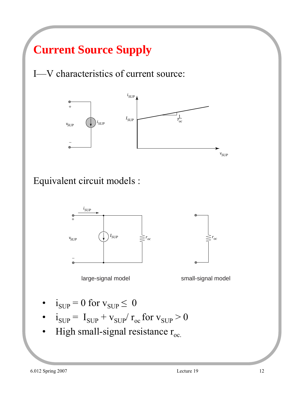## **Current Source Supply**

I—V characteristics of current source:



#### Equivalent circuit models :





large-signal model small-signal model

- $i_{SUP} = 0$  for  $v_{SUP} \leq 0$
- $i_{\text{SUP}} = I_{\text{SUP}} + v_{\text{SUP}} / r_{\text{oc}}$  for  $v_{\text{SUP}} > 0$
- High small-signal resistance  $r_{oc.}$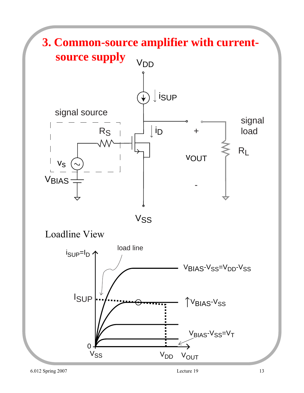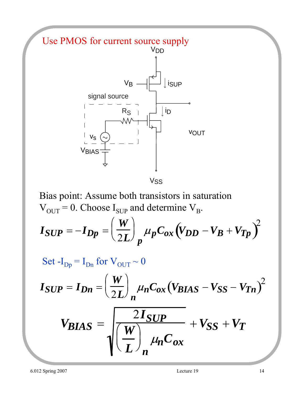

Bias point: Assume both transistors in saturation  $V_{OUT} = 0$ . Choose  $I_{SUP}$  and determine  $V_B$ .

$$
I_{SUP} = -I_{Dp} = \left(\frac{W}{2L}\right)_p \mu_p C_{ox} (V_{DD} - V_B + V_{Tp})^2
$$

Set  $-I_{\text{Dp}} = I_{\text{Dn}}$  for  $V_{\text{OUT}} \sim 0$ 

$$
I_{SUP} = I_{Dn} = \left(\frac{W}{2L}\right)_n \mu_n C_{ox} (V_{BIAS} - V_{SS} - V_{Tn})^2
$$

$$
V_{BIAS} = \sqrt{\frac{2I_{SUP}}{L}} \mu_n C_{ox} + V_{SS} + V_T
$$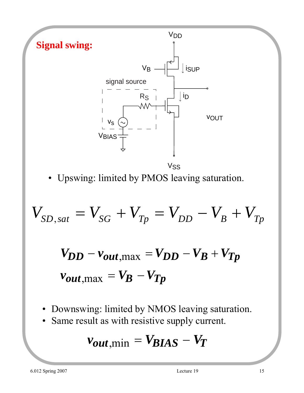

• Upswing: limited by PMOS leaving saturation.

$$
V_{SD,sat} = V_{SG} + V_{Tp} = V_{DD} - V_B + V_{Tp}
$$

$$
V_{DD} - v_{out,max} = V_{DD} - V_B + V_{Tp}
$$
  

$$
v_{out,max} = V_B - V_{Tp}
$$

- Downswing: limited by NMOS leaving saturation.
- Same result as with resistive supply current.

$$
v_{out,min} = V_{BIAS} - V_T
$$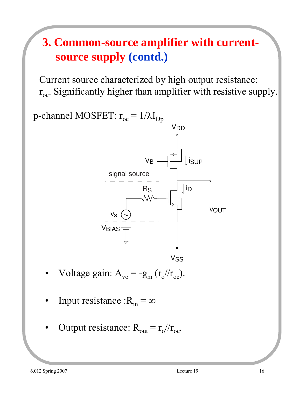## **3. Common-source amplifier with currentsource supply (contd.)**

Current source characterized by high output resistance:  $r_{oc}$ . Significantly higher than amplifier with resistive supply.



- Voltage gain:  $A_{\rm vo} = -g_{\rm m} (r_{\rm o}/r_{\rm oc})$ .
- Input resistance : $R_{in} = \infty$
- Output resistance:  $R_{out} = r_0 / / r_{oc}$ .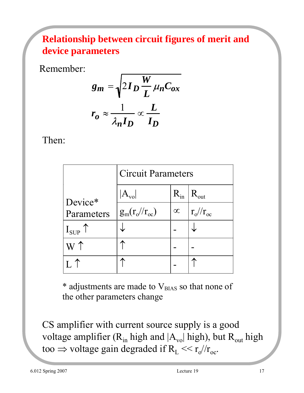#### **Relationship between circuit figures of merit and device parameters**

Remember:

$$
g_m = \sqrt{2I_D \frac{W}{L} \mu_n C_{ox}}
$$

$$
r_o \approx \frac{1}{\lambda_n I_D} \propto \frac{L}{I_D}
$$

Then:

|                | <b>Circuit Parameters</b> |          |                   |
|----------------|---------------------------|----------|-------------------|
| Device*        |                           | $R_{in}$ | $R_{\text{out}}$  |
| Parameters     | $g_m(r_o/r_{oc})$         | $\infty$ | $r_o$ // $r_{oc}$ |
| $I_{SUP}$      |                           |          |                   |
| W <sup>T</sup> |                           |          |                   |
|                |                           |          |                   |

 $*$  adjustments are made to  $V_{BIAS}$  so that none of the other parameters change

CS amplifier with current source supply is a good voltage amplifier  $(R_{in}$  high and  $A_{vol}$  high), but  $R_{out}$  high too  $\Rightarrow$  voltage gain degraded if  $R_L \ll r_o/r_{oc}$ .